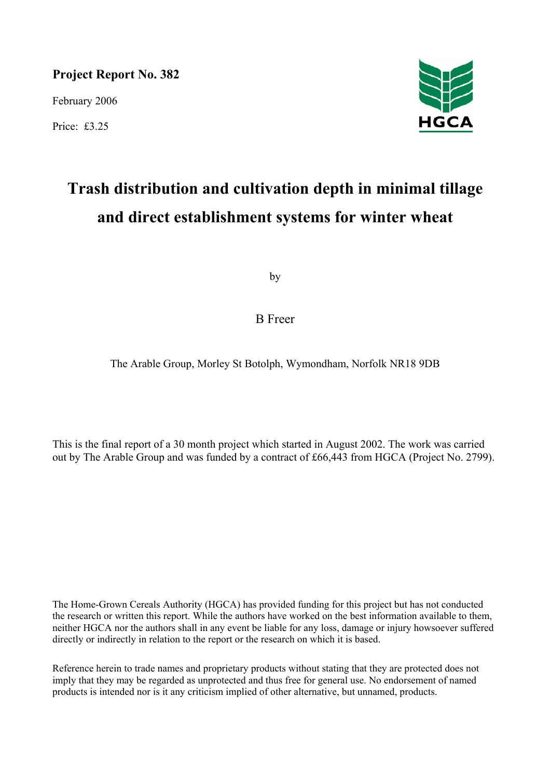**Project Report No. 382** 

February 2006

Price: £3.25



# **Trash distribution and cultivation depth in minimal tillage and direct establishment systems for winter wheat**

by

B Freer

The Arable Group, Morley St Botolph, Wymondham, Norfolk NR18 9DB

This is the final report of a 30 month project which started in August 2002. The work was carried out by The Arable Group and was funded by a contract of £66,443 from HGCA (Project No. 2799).

The Home-Grown Cereals Authority (HGCA) has provided funding for this project but has not conducted the research or written this report. While the authors have worked on the best information available to them, neither HGCA nor the authors shall in any event be liable for any loss, damage or injury howsoever suffered directly or indirectly in relation to the report or the research on which it is based.

Reference herein to trade names and proprietary products without stating that they are protected does not imply that they may be regarded as unprotected and thus free for general use. No endorsement of named products is intended nor is it any criticism implied of other alternative, but unnamed, products.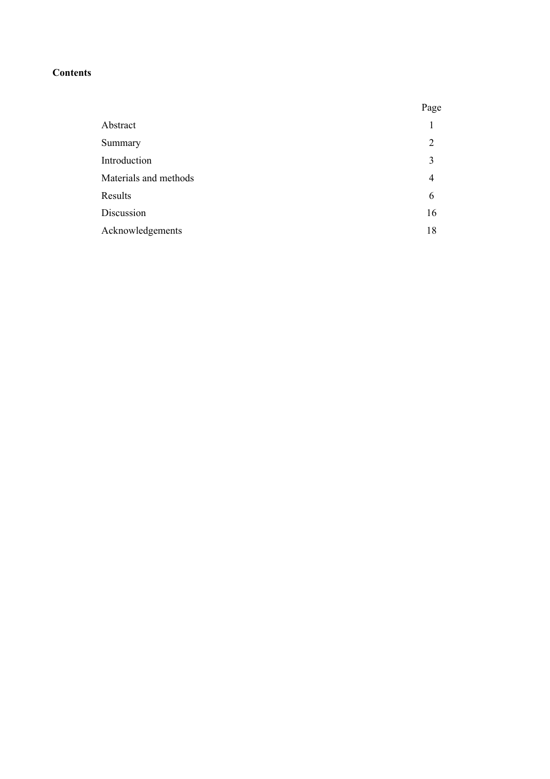## **Contents**

|                       | Page |
|-----------------------|------|
| Abstract              |      |
| Summary               | 2    |
| Introduction          | 3    |
| Materials and methods | 4    |
| Results               | 6    |
| Discussion            | 16   |
| Acknowledgements      | 18   |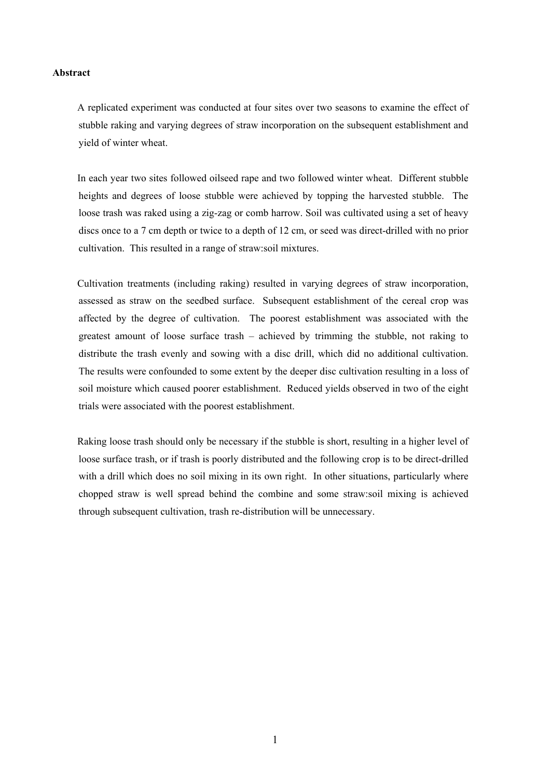#### **Abstract**

A replicated experiment was conducted at four sites over two seasons to examine the effect of stubble raking and varying degrees of straw incorporation on the subsequent establishment and yield of winter wheat.

In each year two sites followed oilseed rape and two followed winter wheat. Different stubble heights and degrees of loose stubble were achieved by topping the harvested stubble. The loose trash was raked using a zig-zag or comb harrow. Soil was cultivated using a set of heavy discs once to a 7 cm depth or twice to a depth of 12 cm, or seed was direct-drilled with no prior cultivation. This resulted in a range of straw:soil mixtures.

Cultivation treatments (including raking) resulted in varying degrees of straw incorporation, assessed as straw on the seedbed surface. Subsequent establishment of the cereal crop was affected by the degree of cultivation. The poorest establishment was associated with the greatest amount of loose surface trash – achieved by trimming the stubble, not raking to distribute the trash evenly and sowing with a disc drill, which did no additional cultivation. The results were confounded to some extent by the deeper disc cultivation resulting in a loss of soil moisture which caused poorer establishment. Reduced yields observed in two of the eight trials were associated with the poorest establishment.

Raking loose trash should only be necessary if the stubble is short, resulting in a higher level of loose surface trash, or if trash is poorly distributed and the following crop is to be direct-drilled with a drill which does no soil mixing in its own right. In other situations, particularly where chopped straw is well spread behind the combine and some straw:soil mixing is achieved through subsequent cultivation, trash re-distribution will be unnecessary.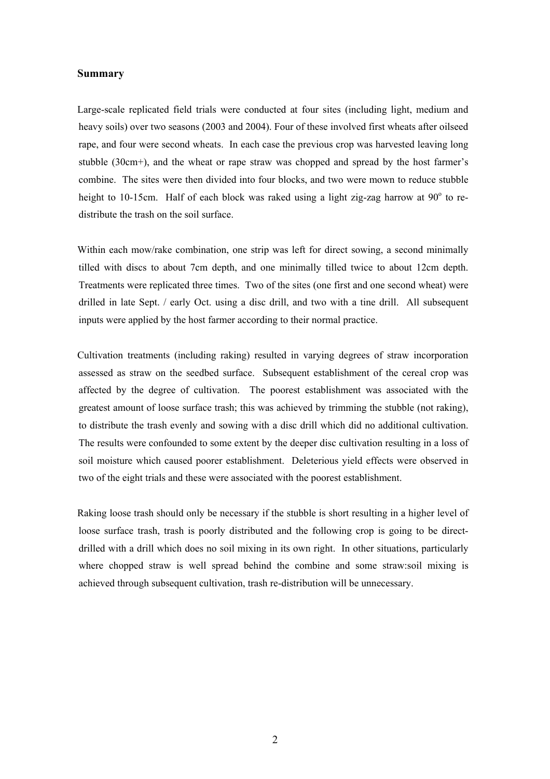#### **Summary**

Large-scale replicated field trials were conducted at four sites (including light, medium and heavy soils) over two seasons (2003 and 2004). Four of these involved first wheats after oilseed rape, and four were second wheats. In each case the previous crop was harvested leaving long stubble (30cm+), and the wheat or rape straw was chopped and spread by the host farmer's combine. The sites were then divided into four blocks, and two were mown to reduce stubble height to 10-15cm. Half of each block was raked using a light zig-zag harrow at  $90^\circ$  to redistribute the trash on the soil surface.

Within each mow/rake combination, one strip was left for direct sowing, a second minimally tilled with discs to about 7cm depth, and one minimally tilled twice to about 12cm depth. Treatments were replicated three times. Two of the sites (one first and one second wheat) were drilled in late Sept. / early Oct. using a disc drill, and two with a tine drill. All subsequent inputs were applied by the host farmer according to their normal practice.

Cultivation treatments (including raking) resulted in varying degrees of straw incorporation assessed as straw on the seedbed surface. Subsequent establishment of the cereal crop was affected by the degree of cultivation. The poorest establishment was associated with the greatest amount of loose surface trash; this was achieved by trimming the stubble (not raking), to distribute the trash evenly and sowing with a disc drill which did no additional cultivation. The results were confounded to some extent by the deeper disc cultivation resulting in a loss of soil moisture which caused poorer establishment. Deleterious yield effects were observed in two of the eight trials and these were associated with the poorest establishment.

Raking loose trash should only be necessary if the stubble is short resulting in a higher level of loose surface trash, trash is poorly distributed and the following crop is going to be directdrilled with a drill which does no soil mixing in its own right. In other situations, particularly where chopped straw is well spread behind the combine and some straw:soil mixing is achieved through subsequent cultivation, trash re-distribution will be unnecessary.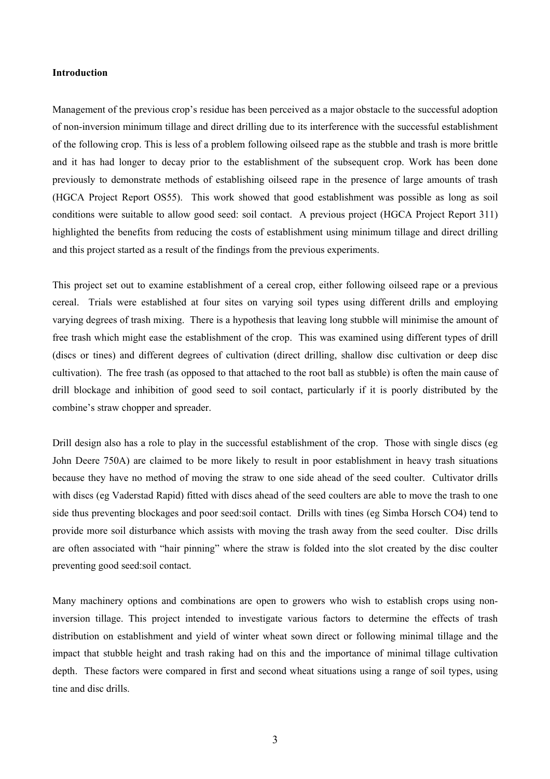#### **Introduction**

Management of the previous crop's residue has been perceived as a major obstacle to the successful adoption of non-inversion minimum tillage and direct drilling due to its interference with the successful establishment of the following crop. This is less of a problem following oilseed rape as the stubble and trash is more brittle and it has had longer to decay prior to the establishment of the subsequent crop. Work has been done previously to demonstrate methods of establishing oilseed rape in the presence of large amounts of trash (HGCA Project Report OS55). This work showed that good establishment was possible as long as soil conditions were suitable to allow good seed: soil contact. A previous project (HGCA Project Report 311) highlighted the benefits from reducing the costs of establishment using minimum tillage and direct drilling and this project started as a result of the findings from the previous experiments.

This project set out to examine establishment of a cereal crop, either following oilseed rape or a previous cereal. Trials were established at four sites on varying soil types using different drills and employing varying degrees of trash mixing. There is a hypothesis that leaving long stubble will minimise the amount of free trash which might ease the establishment of the crop. This was examined using different types of drill (discs or tines) and different degrees of cultivation (direct drilling, shallow disc cultivation or deep disc cultivation). The free trash (as opposed to that attached to the root ball as stubble) is often the main cause of drill blockage and inhibition of good seed to soil contact, particularly if it is poorly distributed by the combine's straw chopper and spreader.

Drill design also has a role to play in the successful establishment of the crop. Those with single discs (eg John Deere 750A) are claimed to be more likely to result in poor establishment in heavy trash situations because they have no method of moving the straw to one side ahead of the seed coulter. Cultivator drills with discs (eg Vaderstad Rapid) fitted with discs ahead of the seed coulters are able to move the trash to one side thus preventing blockages and poor seed:soil contact. Drills with tines (eg Simba Horsch CO4) tend to provide more soil disturbance which assists with moving the trash away from the seed coulter. Disc drills are often associated with "hair pinning" where the straw is folded into the slot created by the disc coulter preventing good seed:soil contact.

Many machinery options and combinations are open to growers who wish to establish crops using noninversion tillage. This project intended to investigate various factors to determine the effects of trash distribution on establishment and yield of winter wheat sown direct or following minimal tillage and the impact that stubble height and trash raking had on this and the importance of minimal tillage cultivation depth. These factors were compared in first and second wheat situations using a range of soil types, using tine and disc drills.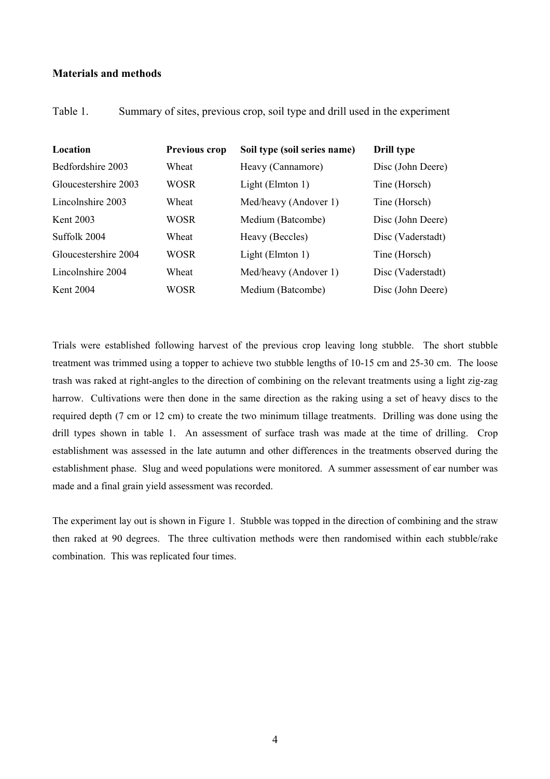## **Materials and methods**

Table 1. Summary of sites, previous crop, soil type and drill used in the experiment

| Location             | Previous crop | Soil type (soil series name) | Drill type        |
|----------------------|---------------|------------------------------|-------------------|
| Bedfordshire 2003    | Wheat         | Heavy (Cannamore)            | Disc (John Deere) |
| Gloucestershire 2003 | WOSR          | Light (Elmton 1)             | Tine (Horsch)     |
| Lincolnshire 2003    | Wheat         | Med/heavy (Andover 1)        | Tine (Horsch)     |
| Kent 2003            | WOSR          | Medium (Batcombe)            | Disc (John Deere) |
| Suffolk 2004         | Wheat         | Heavy (Beccles)              | Disc (Vaderstadt) |
| Gloucestershire 2004 | WOSR          | Light (Elmton 1)             | Tine (Horsch)     |
| Lincolnshire 2004    | Wheat         | Med/heavy (Andover 1)        | Disc (Vaderstadt) |
| Kent 2004            | WOSR          | Medium (Batcombe)            | Disc (John Deere) |

Trials were established following harvest of the previous crop leaving long stubble. The short stubble treatment was trimmed using a topper to achieve two stubble lengths of 10-15 cm and 25-30 cm. The loose trash was raked at right-angles to the direction of combining on the relevant treatments using a light zig-zag harrow. Cultivations were then done in the same direction as the raking using a set of heavy discs to the required depth (7 cm or 12 cm) to create the two minimum tillage treatments. Drilling was done using the drill types shown in table 1. An assessment of surface trash was made at the time of drilling. Crop establishment was assessed in the late autumn and other differences in the treatments observed during the establishment phase. Slug and weed populations were monitored. A summer assessment of ear number was made and a final grain yield assessment was recorded.

The experiment lay out is shown in Figure 1. Stubble was topped in the direction of combining and the straw then raked at 90 degrees. The three cultivation methods were then randomised within each stubble/rake combination. This was replicated four times.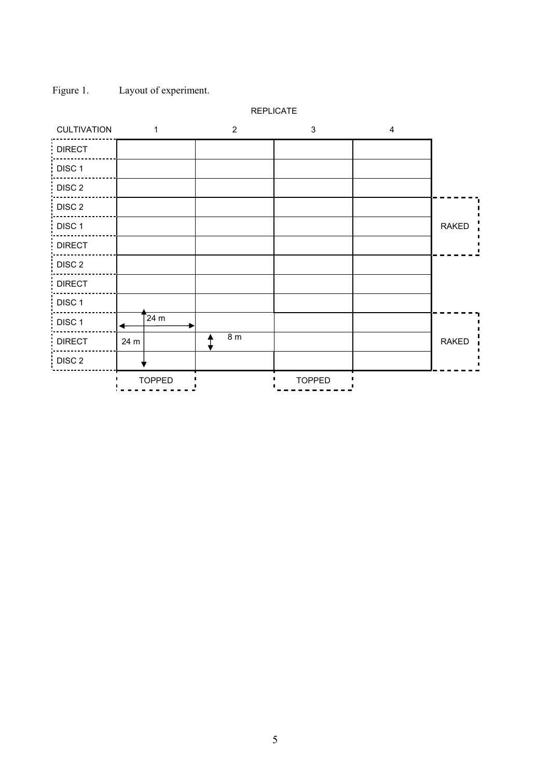

Figure 1. Layout of experiment.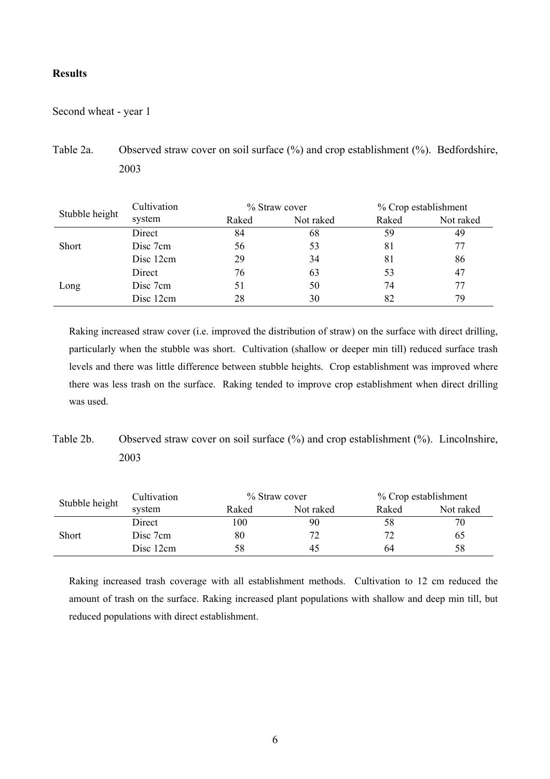## **Results**

Second wheat - year 1

Table 2a. Observed straw cover on soil surface (%) and crop establishment (%). Bedfordshire, 2003

| Stubble height | Cultivation | % Straw cover |           | % Crop establishment |           |
|----------------|-------------|---------------|-----------|----------------------|-----------|
|                | system      | Raked         | Not raked | Raked                | Not raked |
|                | Direct      | 84            | 68        | 59                   | 49        |
| <b>Short</b>   | Disc 7cm    | 56            | 53        | 81                   |           |
|                | Disc 12cm   | 29            | 34        | 81                   | 86        |
|                | Direct      | 76            | 63        | 53                   | 47        |
| Long           | Disc 7cm    | 51            | 50        | 74                   | 77        |
|                | Disc 12cm   | 28            | 30        | 82                   | 79        |

Raking increased straw cover (i.e. improved the distribution of straw) on the surface with direct drilling, particularly when the stubble was short. Cultivation (shallow or deeper min till) reduced surface trash levels and there was little difference between stubble heights. Crop establishment was improved where there was less trash on the surface. Raking tended to improve crop establishment when direct drilling was used.

Table 2b. Observed straw cover on soil surface  $(\%)$  and crop establishment  $(\%)$ . Lincolnshire, 2003

| Stubble height | Cultivation | % Straw cover |           | % Crop establishment |           |
|----------------|-------------|---------------|-----------|----------------------|-----------|
|                | system      | Raked         | Not raked | Raked                | Not raked |
|                | Direct      | 100           | 90        | 58                   | 70        |
| <b>Short</b>   | Disc 7cm    | 80            | 72        | 70                   | 65        |
|                | Disc 12cm   | 58            | 45        | 64                   | 58        |

Raking increased trash coverage with all establishment methods. Cultivation to 12 cm reduced the amount of trash on the surface. Raking increased plant populations with shallow and deep min till, but reduced populations with direct establishment.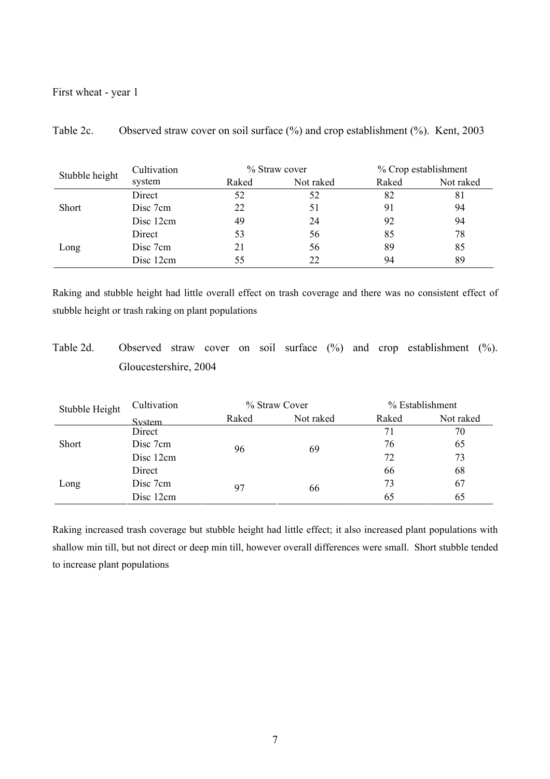## First wheat - year 1

|                | Cultivation | % Straw cover |           | % Crop establishment |           |
|----------------|-------------|---------------|-----------|----------------------|-----------|
| Stubble height | system      | Raked         | Not raked | Raked                | Not raked |
|                | Direct      | 52            | 52        | 82                   | 81        |
| <b>Short</b>   | Disc 7cm    | 22            | 51        | 91                   | 94        |
|                | Disc 12cm   | 49            | 24        | 92                   | 94        |
|                | Direct      | 53            | 56        | 85                   | 78        |
| Long           | Disc 7cm    | 21            | 56        | 89                   | 85        |
|                | Disc 12cm   | 55            | 22        | 94                   | 89        |

Table 2c. Observed straw cover on soil surface (%) and crop establishment (%). Kent, 2003

Raking and stubble height had little overall effect on trash coverage and there was no consistent effect of stubble height or trash raking on plant populations

Table 2d. Observed straw cover on soil surface (%) and crop establishment (%). Gloucestershire, 2004

| Stubble Height | Cultivation | % Straw Cover |           | % Establishment |           |
|----------------|-------------|---------------|-----------|-----------------|-----------|
|                | System      | Raked         | Not raked | Raked           | Not raked |
| <b>Short</b>   | Direct      |               | 69        | 71              | 70        |
|                | Disc 7cm    | 96            |           | 76              | 65        |
|                | Disc 12cm   |               |           | 72              | 73        |
| Long           | Direct      |               |           | 66              | 68        |
|                | Disc 7cm    | 97            | 66        | 73              | 67        |
|                | Disc 12cm   |               |           | 65              | 65        |

Raking increased trash coverage but stubble height had little effect; it also increased plant populations with shallow min till, but not direct or deep min till, however overall differences were small. Short stubble tended to increase plant populations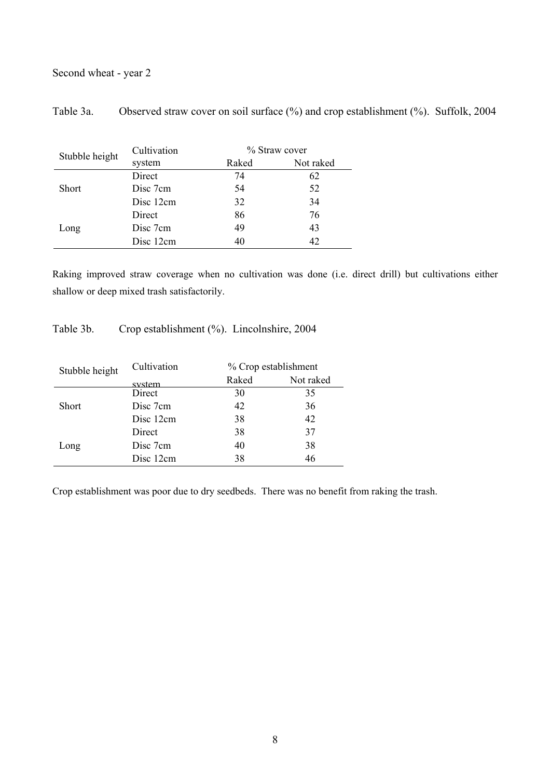# Second wheat - year 2

| Table 3a. |  |  | Observed straw cover on soil surface (%) and crop establishment (%). Suffolk, 2004 |  |
|-----------|--|--|------------------------------------------------------------------------------------|--|
|           |  |  |                                                                                    |  |

| Stubble height | Cultivation |       | % Straw cover |  |  |
|----------------|-------------|-------|---------------|--|--|
|                | system      | Raked | Not raked     |  |  |
|                | Direct      | 74    | 62            |  |  |
| <b>Short</b>   | Disc 7cm    | 54    | 52            |  |  |
|                | Disc 12cm   | 32    | 34            |  |  |
| Long           | Direct      | 86    | 76            |  |  |
|                | Disc 7cm    | 49    | 43            |  |  |
|                | Disc 12cm   | 40    | 42            |  |  |
|                |             |       |               |  |  |

Raking improved straw coverage when no cultivation was done (i.e. direct drill) but cultivations either shallow or deep mixed trash satisfactorily.

Table 3b. Crop establishment (%). Lincolnshire, 2004

| Stubble height | Cultivation |       | % Crop establishment |  |  |
|----------------|-------------|-------|----------------------|--|--|
|                | system      | Raked | Not raked            |  |  |
|                | Direct      | 30    | 35                   |  |  |
| <b>Short</b>   | Disc 7cm    | 42    | 36                   |  |  |
|                | Disc 12cm   | 38    | 42                   |  |  |
|                | Direct      | 38    | 37                   |  |  |
| Long           | Disc 7cm    | 40    | 38                   |  |  |
|                | Disc 12cm   | 38    | 46                   |  |  |

Crop establishment was poor due to dry seedbeds. There was no benefit from raking the trash.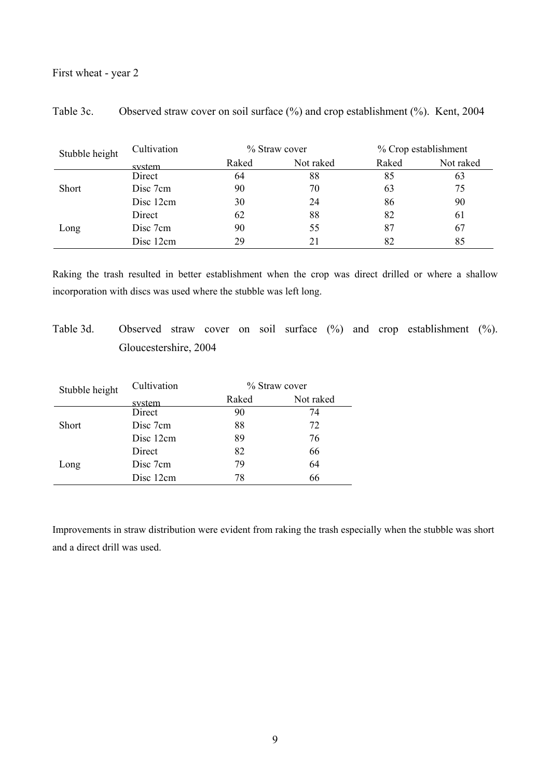## First wheat - year 2

| Stubble height | Cultivation | % Straw cover |           | % Crop establishment |           |
|----------------|-------------|---------------|-----------|----------------------|-----------|
|                | system      | Raked         | Not raked | Raked                | Not raked |
|                | Direct      | 64            | 88        | 85                   | 63        |
| <b>Short</b>   | Disc 7cm    | 90            | 70        | 63                   | 75        |
|                | Disc 12cm   | 30            | 24        | 86                   | 90        |
|                | Direct      | 62            | 88        | 82                   | 61        |
| Long           | Disc 7cm    | 90            | 55        | 87                   | 67        |
|                | Disc 12cm   | 29            | 21        | 82                   | 85        |

Table 3c. Observed straw cover on soil surface (%) and crop establishment (%). Kent, 2004

Raking the trash resulted in better establishment when the crop was direct drilled or where a shallow incorporation with discs was used where the stubble was left long.

Table 3d. Observed straw cover on soil surface (%) and crop establishment (%). Gloucestershire, 2004

| Cultivation |       |               |
|-------------|-------|---------------|
| system      | Raked | Not raked     |
| Direct      | 90    | 74            |
| Disc 7cm    | 88    | 72            |
| Disc 12cm   | 89    | 76            |
| Direct      | 82    | 66            |
| Disc 7cm    | 79    | 64            |
| Disc 12cm   | 78    | 66            |
|             |       | % Straw cover |

Improvements in straw distribution were evident from raking the trash especially when the stubble was short and a direct drill was used.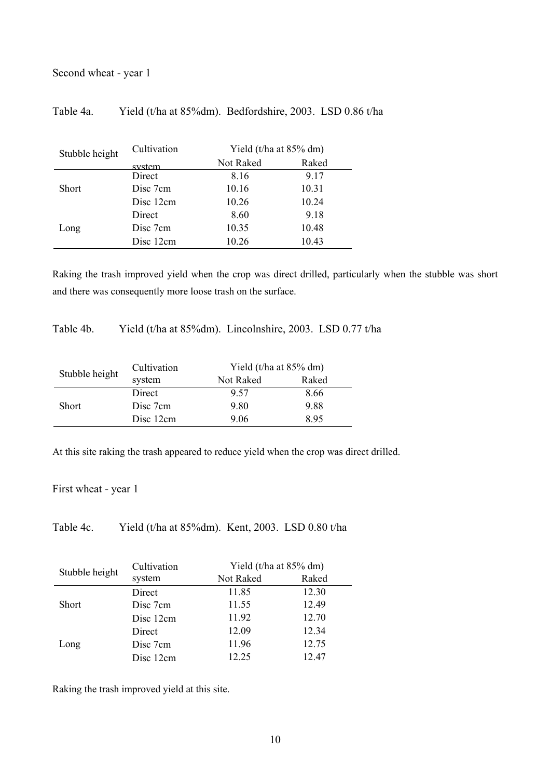# Second wheat - year 1

## Table 4a. Yield (t/ha at 85%dm). Bedfordshire, 2003. LSD 0.86 t/ha

| Stubble height | Cultivation | Yield (t/ha at 85% dm) |       |  |
|----------------|-------------|------------------------|-------|--|
|                | system      | Not Raked              | Raked |  |
|                | Direct      | 8.16                   | 9.17  |  |
| <b>Short</b>   | Disc 7cm    | 10.16                  | 10.31 |  |
|                | Disc 12cm   | 10.26                  | 10.24 |  |
| Long           | Direct      | 8.60                   | 9.18  |  |
|                | Disc 7cm    | 10.35                  | 10.48 |  |
|                | Disc 12cm   | 10.26                  | 10.43 |  |
|                |             |                        |       |  |

Raking the trash improved yield when the crop was direct drilled, particularly when the stubble was short and there was consequently more loose trash on the surface.

Table 4b. Yield (t/ha at 85%dm). Lincolnshire, 2003. LSD 0.77 t/ha

| Stubble height | Cultivation | Yield (t/ha at $85\%$ dm) |       |  |  |  |
|----------------|-------------|---------------------------|-------|--|--|--|
|                | system      | Not Raked                 | Raked |  |  |  |
|                | Direct      | 9.57                      | 8.66  |  |  |  |
| <b>Short</b>   | Disc 7cm    | 9.80                      | 9.88  |  |  |  |
|                | Disc 12cm   | 9.06                      | 895   |  |  |  |

At this site raking the trash appeared to reduce yield when the crop was direct drilled.

First wheat - year 1

Table 4c. Yield (t/ha at 85%dm). Kent, 2003. LSD 0.80 t/ha

|                | Cultivation | Yield (t/ha at 85% dm) |       |  |
|----------------|-------------|------------------------|-------|--|
| Stubble height | system      | Not Raked              | Raked |  |
|                | Direct      | 11.85                  | 12.30 |  |
| <b>Short</b>   | Disc 7cm    | 11.55                  | 12.49 |  |
|                | Disc 12cm   | 11.92                  | 12.70 |  |
|                | Direct      | 12.09                  | 12.34 |  |
| Long           | Disc 7cm    | 11.96                  | 12.75 |  |
|                | Disc 12cm   | 12 25                  | 12.47 |  |

Raking the trash improved yield at this site.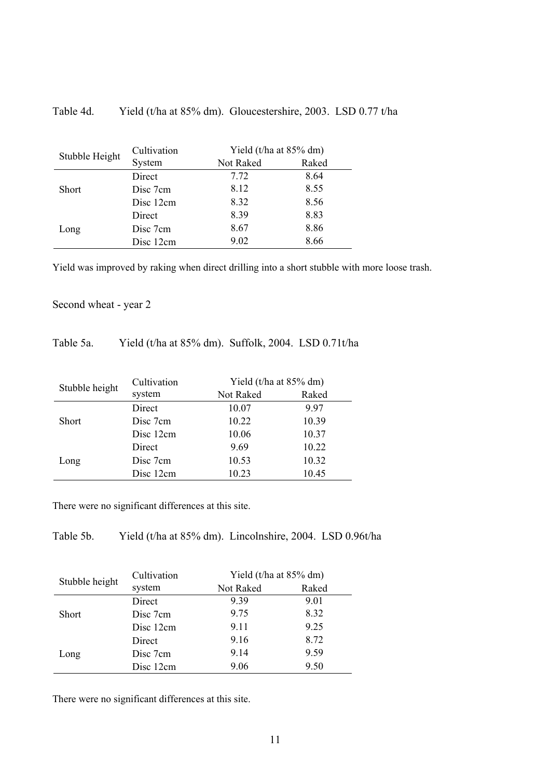| Table 4d. |  |  | Yield (t/ha at 85% dm). Gloucestershire, 2003. LSD 0.77 t/ha |  |
|-----------|--|--|--------------------------------------------------------------|--|
|-----------|--|--|--------------------------------------------------------------|--|

| Stubble Height | Cultivation | Yield (t/ha at $85\%$ dm) |       |  |  |  |
|----------------|-------------|---------------------------|-------|--|--|--|
|                | System      | Not Raked                 | Raked |  |  |  |
|                | Direct      | 7.72                      | 8.64  |  |  |  |
| <b>Short</b>   | Disc 7cm    | 8.12                      | 8.55  |  |  |  |
|                | Disc 12cm   | 8.32                      | 8.56  |  |  |  |
|                | Direct      | 8.39                      | 8.83  |  |  |  |
| Long           | Disc 7cm    | 8.67                      | 8.86  |  |  |  |
|                | Disc 12cm   | 9.02                      | 8.66  |  |  |  |
|                |             |                           |       |  |  |  |

Yield was improved by raking when direct drilling into a short stubble with more loose trash.

# Second wheat - year 2

# Table 5a. Yield (t/ha at 85% dm). Suffolk, 2004. LSD 0.71t/ha

| Stubble height | Cultivation | Yield (t/ha at 85% dm) |       |  |  |  |
|----------------|-------------|------------------------|-------|--|--|--|
|                | system      | Not Raked              | Raked |  |  |  |
|                | Direct      | 10.07                  | 997   |  |  |  |
| <b>Short</b>   | Disc 7cm    | 10.22                  | 10.39 |  |  |  |
|                | Disc 12cm   | 10.06                  | 10.37 |  |  |  |
|                | Direct      | 9.69                   | 10.22 |  |  |  |
| Long           | Disc 7cm    | 10.53                  | 10.32 |  |  |  |
|                | Disc 12cm   | 10.23                  | 10.45 |  |  |  |

There were no significant differences at this site.

Table 5b. Yield (t/ha at 85% dm). Lincolnshire, 2004. LSD 0.96t/ha

| Stubble height | Cultivation |           | Yield (t/ha at 85% dm) |
|----------------|-------------|-----------|------------------------|
|                | system      | Not Raked | Raked                  |
|                | Direct      | 9.39      | 9.01                   |
| <b>Short</b>   | Disc 7cm    | 9.75      | 8.32                   |
|                | Disc 12cm   | 9.11      | 9.25                   |
|                | Direct      | 9.16      | 8.72                   |
| Long           | Disc 7cm    | 9.14      | 9.59                   |
|                | Disc 12cm   | 9.06      | 9.50                   |

There were no significant differences at this site.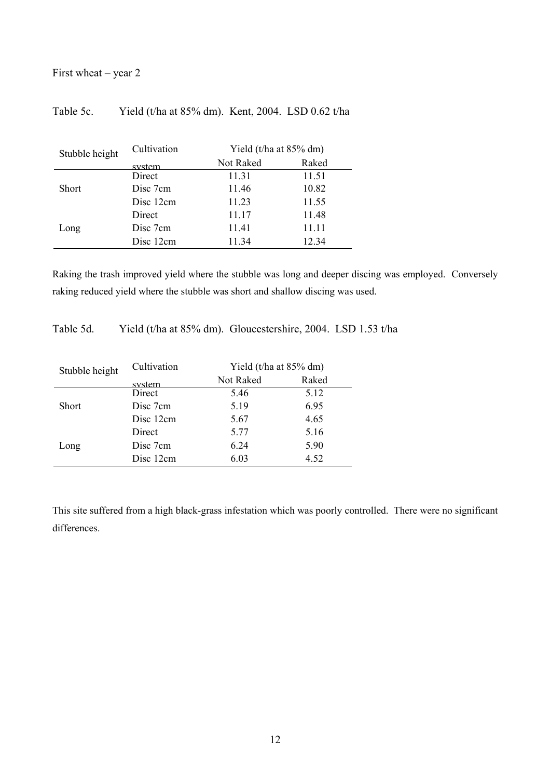# First wheat – year 2

# Table 5c. Yield (t/ha at 85% dm). Kent, 2004. LSD 0.62 t/ha

| Stubble height | Cultivation |           | Yield (t/ha at 85% dm) |  |  |
|----------------|-------------|-----------|------------------------|--|--|
|                | system      | Not Raked | Raked                  |  |  |
|                | Direct      | 11.31     | 11.51                  |  |  |
| <b>Short</b>   | Disc 7cm    | 11.46     | 10.82                  |  |  |
|                | Disc 12cm   | 11.23     | 11.55                  |  |  |
|                | Direct      | 11.17     | 11.48                  |  |  |
| Long           | Disc 7cm    | 11.41     | 11.11                  |  |  |
|                | Disc 12cm   | 11.34     | 12.34                  |  |  |
|                |             |           |                        |  |  |

Raking the trash improved yield where the stubble was long and deeper discing was employed. Conversely raking reduced yield where the stubble was short and shallow discing was used.

Table 5d. Yield (t/ha at 85% dm). Gloucestershire, 2004. LSD 1.53 t/ha

| Stubble height | Cultivation | Yield (t/ha at 85% dm) |       |  |
|----------------|-------------|------------------------|-------|--|
|                | system      | Not Raked              | Raked |  |
|                | Direct      | 5.46                   | 5.12  |  |
| <b>Short</b>   | Disc 7cm    | 5.19                   | 6.95  |  |
|                | Disc 12cm   | 5.67                   | 4.65  |  |
|                | Direct      | 5.77                   | 5.16  |  |
| Long           | Disc 7cm    | 6.24                   | 5.90  |  |
|                | Disc 12cm   | 6.03                   | 4.52  |  |

This site suffered from a high black-grass infestation which was poorly controlled. There were no significant differences.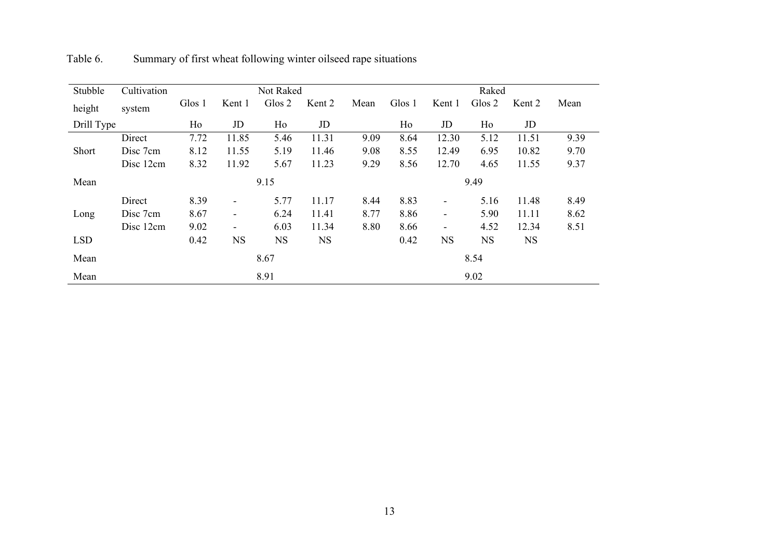| Stubble    | Cultivation |        |                          | Not Raked |           |      |        |                          | Raked     |           |      |
|------------|-------------|--------|--------------------------|-----------|-----------|------|--------|--------------------------|-----------|-----------|------|
| height     | system      | Glos 1 | Kent 1                   | Glos 2    | Kent 2    | Mean | Glos 1 | Kent 1                   | Glos 2    | Kent 2    | Mean |
| Drill Type |             | Ho     | JD                       | Ho        | JD        |      | Ho     | JD                       | Ho        | JD        |      |
|            | Direct      | 7.72   | 11.85                    | 5.46      | 11.31     | 9.09 | 8.64   | 12.30                    | 5.12      | 11.51     | 9.39 |
| Short      | Disc 7cm    | 8.12   | 11.55                    | 5.19      | 11.46     | 9.08 | 8.55   | 12.49                    | 6.95      | 10.82     | 9.70 |
|            | Disc 12cm   | 8.32   | 11.92                    | 5.67      | 11.23     | 9.29 | 8.56   | 12.70                    | 4.65      | 11.55     | 9.37 |
| Mean       |             |        | 9.15                     |           |           |      | 9.49   |                          |           |           |      |
|            | Direct      | 8.39   | $\overline{\phantom{a}}$ | 5.77      | 11.17     | 8.44 | 8.83   | $\overline{\phantom{a}}$ | 5.16      | 11.48     | 8.49 |
| Long       | Disc 7cm    | 8.67   | $\overline{\phantom{a}}$ | 6.24      | 11.41     | 8.77 | 8.86   | $\overline{\phantom{a}}$ | 5.90      | 11.11     | 8.62 |
|            | Disc 12cm   | 9.02   | $\blacksquare$           | 6.03      | 11.34     | 8.80 | 8.66   | $\overline{\phantom{a}}$ | 4.52      | 12.34     | 8.51 |
| <b>LSD</b> |             | 0.42   | <b>NS</b>                | <b>NS</b> | <b>NS</b> |      | 0.42   | <b>NS</b>                | <b>NS</b> | <b>NS</b> |      |
| Mean       |             |        |                          | 8.67      |           |      |        |                          | 8.54      |           |      |
| Mean       |             |        |                          | 8.91      |           |      |        |                          | 9.02      |           |      |

Table 6. Summary of first wheat following winter oilseed rape situations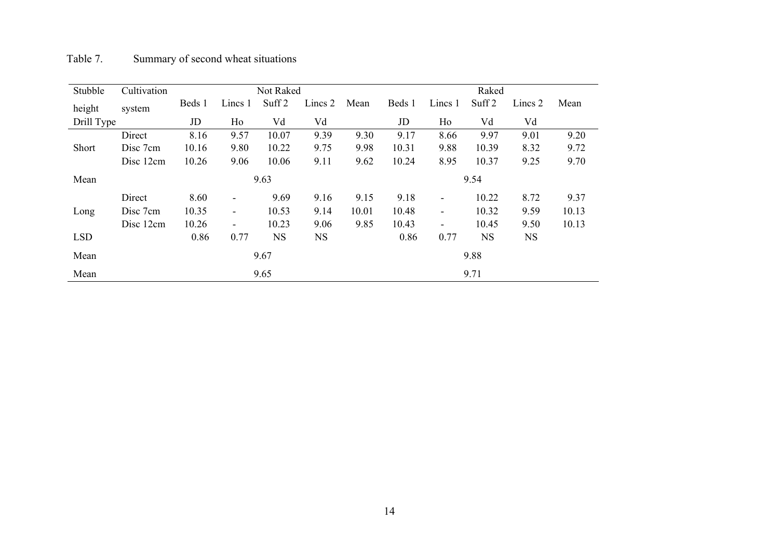| Table 7. | Summary of second wheat situations |
|----------|------------------------------------|
|          |                                    |

| Stubble    | Cultivation |        |                          | Not Raked         |           |       | Raked  |                          |                   |           |       |
|------------|-------------|--------|--------------------------|-------------------|-----------|-------|--------|--------------------------|-------------------|-----------|-------|
| height     | system      | Beds 1 | Lincs 1                  | Suff <sub>2</sub> | Lincs 2   | Mean  | Beds 1 | Lincs 1                  | Suff <sub>2</sub> | Lincs 2   | Mean  |
| Drill Type |             | JD     | Ho                       | Vd                | Vd        |       | JD     | Ho                       | Vd                | Vd        |       |
|            | Direct      | 8.16   | 9.57                     | 10.07             | 9.39      | 9.30  | 9.17   | 8.66                     | 9.97              | 9.01      | 9.20  |
| Short      | Disc 7cm    | 10.16  | 9.80                     | 10.22             | 9.75      | 9.98  | 10.31  | 9.88                     | 10.39             | 8.32      | 9.72  |
|            | Disc 12cm   | 10.26  | 9.06                     | 10.06             | 9.11      | 9.62  | 10.24  | 8.95                     | 10.37             | 9.25      | 9.70  |
| Mean       |             |        | 9.63                     |                   |           |       | 9.54   |                          |                   |           |       |
|            | Direct      | 8.60   | $\overline{\phantom{a}}$ | 9.69              | 9.16      | 9.15  | 9.18   | $\overline{\phantom{a}}$ | 10.22             | 8.72      | 9.37  |
| Long       | Disc 7cm    | 10.35  | $\blacksquare$           | 10.53             | 9.14      | 10.01 | 10.48  | $\overline{\phantom{a}}$ | 10.32             | 9.59      | 10.13 |
|            | Disc 12cm   | 10.26  | $\blacksquare$           | 10.23             | 9.06      | 9.85  | 10.43  | $\overline{\phantom{a}}$ | 10.45             | 9.50      | 10.13 |
| <b>LSD</b> |             | 0.86   | 0.77                     | <b>NS</b>         | <b>NS</b> |       | 0.86   | 0.77                     | <b>NS</b>         | <b>NS</b> |       |
| Mean       |             |        |                          | 9.67              |           |       |        |                          | 9.88              |           |       |
| Mean       |             |        |                          | 9.65              |           |       |        |                          | 9.71              |           |       |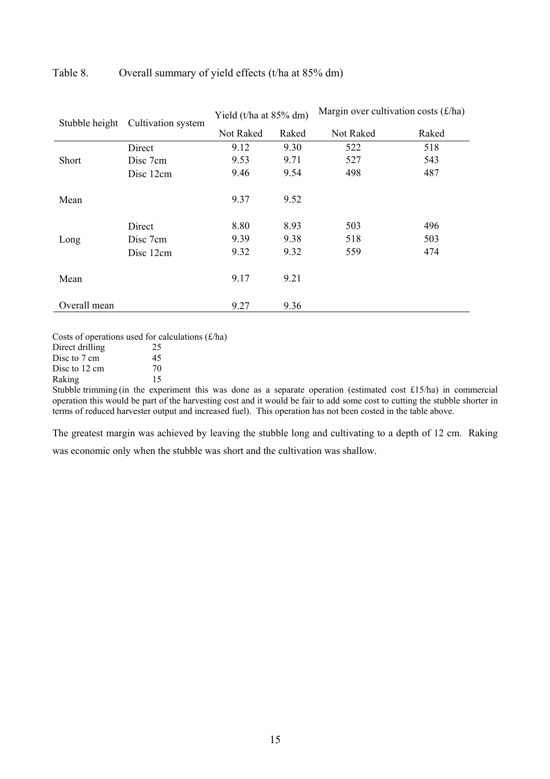| Stubble height | Cultivation system | Yield (t/ha at 85% dm) |       | Margin over cultivation costs $(f/ha)$ |       |  |
|----------------|--------------------|------------------------|-------|----------------------------------------|-------|--|
|                |                    | Not Raked              | Raked | Not Raked                              | Raked |  |
|                | Direct             | 9.12                   | 9.30  | 522                                    | 518   |  |
| <b>Short</b>   | Disc 7cm           | 9.53                   | 9.71  | 527                                    | 543   |  |
|                | Disc 12cm          | 9.46                   | 9.54  | 498                                    | 487   |  |
| Mean           |                    | 9.37                   | 9.52  |                                        |       |  |
|                | Direct             | 8.80                   | 8.93  | 503                                    | 496   |  |
| Long           | Disc 7cm           | 9.39                   | 9.38  | 518                                    | 503   |  |
|                | Disc 12cm          | 9.32                   | 9.32  | 559                                    | 474   |  |
| Mean           |                    | 9.17                   | 9.21  |                                        |       |  |
| Overall mean   |                    | 9.27                   | 9.36  |                                        |       |  |

## Table 8. Overall summary of yield effects (t/ha at 85% dm)

Costs of operations used for calculations  $(f/ha)$ 

Direct drilling 25<br>Disc to 7 cm 45 Disc to 7 cm 45<br>Disc to 12 cm 70

Disc to 12 cm 70<br>Raking 15 Raking

Stubble trimming (in the experiment this was done as a separate operation (estimated cost £15/ha) in commercial operation this would be part of the harvesting cost and it would be fair to add some cost to cutting the stubble shorter in terms of reduced harvester output and increased fuel). This operation has not been costed in the table above.

The greatest margin was achieved by leaving the stubble long and cultivating to a depth of 12 cm. Raking was economic only when the stubble was short and the cultivation was shallow.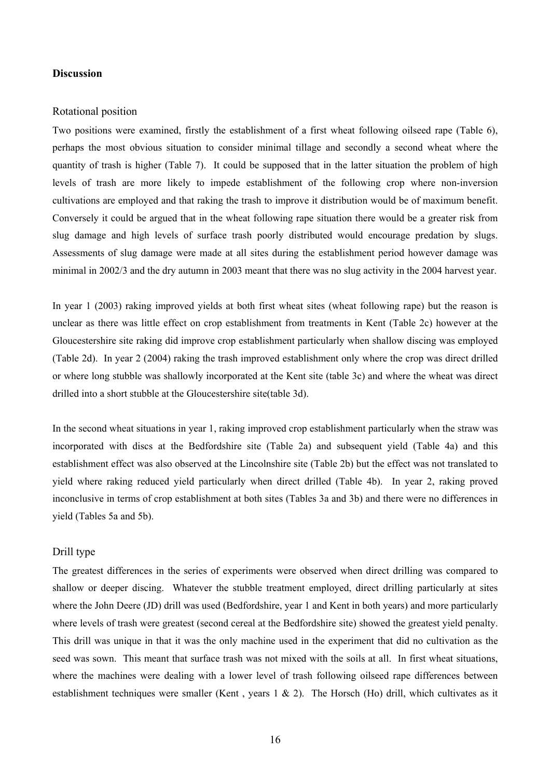### **Discussion**

#### Rotational position

Two positions were examined, firstly the establishment of a first wheat following oilseed rape (Table 6), perhaps the most obvious situation to consider minimal tillage and secondly a second wheat where the quantity of trash is higher (Table 7). It could be supposed that in the latter situation the problem of high levels of trash are more likely to impede establishment of the following crop where non-inversion cultivations are employed and that raking the trash to improve it distribution would be of maximum benefit. Conversely it could be argued that in the wheat following rape situation there would be a greater risk from slug damage and high levels of surface trash poorly distributed would encourage predation by slugs. Assessments of slug damage were made at all sites during the establishment period however damage was minimal in 2002/3 and the dry autumn in 2003 meant that there was no slug activity in the 2004 harvest year.

In year 1 (2003) raking improved yields at both first wheat sites (wheat following rape) but the reason is unclear as there was little effect on crop establishment from treatments in Kent (Table 2c) however at the Gloucestershire site raking did improve crop establishment particularly when shallow discing was employed (Table 2d). In year 2 (2004) raking the trash improved establishment only where the crop was direct drilled or where long stubble was shallowly incorporated at the Kent site (table 3c) and where the wheat was direct drilled into a short stubble at the Gloucestershire site(table 3d).

In the second wheat situations in year 1, raking improved crop establishment particularly when the straw was incorporated with discs at the Bedfordshire site (Table 2a) and subsequent yield (Table 4a) and this establishment effect was also observed at the Lincolnshire site (Table 2b) but the effect was not translated to yield where raking reduced yield particularly when direct drilled (Table 4b). In year 2, raking proved inconclusive in terms of crop establishment at both sites (Tables 3a and 3b) and there were no differences in yield (Tables 5a and 5b).

#### Drill type

The greatest differences in the series of experiments were observed when direct drilling was compared to shallow or deeper discing. Whatever the stubble treatment employed, direct drilling particularly at sites where the John Deere (JD) drill was used (Bedfordshire, year 1 and Kent in both years) and more particularly where levels of trash were greatest (second cereal at the Bedfordshire site) showed the greatest yield penalty. This drill was unique in that it was the only machine used in the experiment that did no cultivation as the seed was sown. This meant that surface trash was not mixed with the soils at all. In first wheat situations, where the machines were dealing with a lower level of trash following oilseed rape differences between establishment techniques were smaller (Kent , years 1 & 2). The Horsch (Ho) drill, which cultivates as it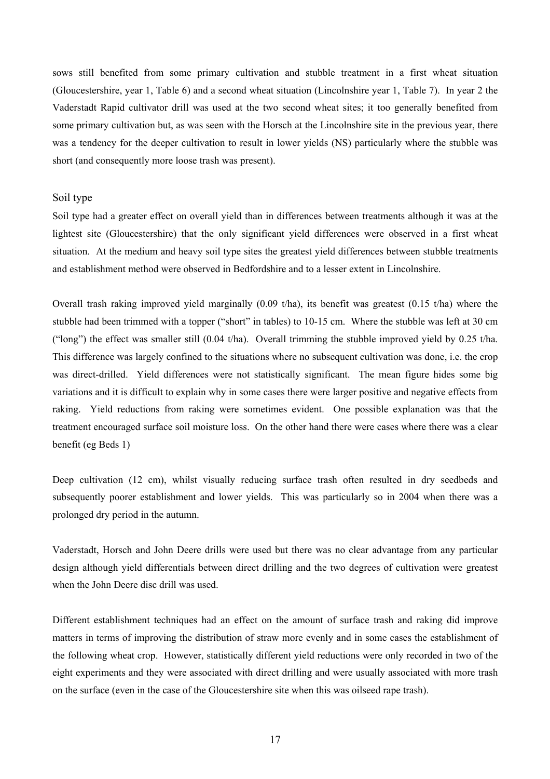sows still benefited from some primary cultivation and stubble treatment in a first wheat situation (Gloucestershire, year 1, Table 6) and a second wheat situation (Lincolnshire year 1, Table 7). In year 2 the Vaderstadt Rapid cultivator drill was used at the two second wheat sites; it too generally benefited from some primary cultivation but, as was seen with the Horsch at the Lincolnshire site in the previous year, there was a tendency for the deeper cultivation to result in lower yields (NS) particularly where the stubble was short (and consequently more loose trash was present).

## Soil type

Soil type had a greater effect on overall yield than in differences between treatments although it was at the lightest site (Gloucestershire) that the only significant yield differences were observed in a first wheat situation. At the medium and heavy soil type sites the greatest yield differences between stubble treatments and establishment method were observed in Bedfordshire and to a lesser extent in Lincolnshire.

Overall trash raking improved yield marginally  $(0.09 \t{tha})$ , its benefit was greatest  $(0.15 \t{tha})$  where the stubble had been trimmed with a topper ("short" in tables) to 10-15 cm. Where the stubble was left at 30 cm ("long") the effect was smaller still  $(0.04 \text{ t/ha})$ . Overall trimming the stubble improved yield by 0.25 t/ha. This difference was largely confined to the situations where no subsequent cultivation was done, i.e. the crop was direct-drilled. Yield differences were not statistically significant. The mean figure hides some big variations and it is difficult to explain why in some cases there were larger positive and negative effects from raking. Yield reductions from raking were sometimes evident. One possible explanation was that the treatment encouraged surface soil moisture loss. On the other hand there were cases where there was a clear benefit (eg Beds 1)

Deep cultivation (12 cm), whilst visually reducing surface trash often resulted in dry seedbeds and subsequently poorer establishment and lower yields. This was particularly so in 2004 when there was a prolonged dry period in the autumn.

Vaderstadt, Horsch and John Deere drills were used but there was no clear advantage from any particular design although yield differentials between direct drilling and the two degrees of cultivation were greatest when the John Deere disc drill was used.

Different establishment techniques had an effect on the amount of surface trash and raking did improve matters in terms of improving the distribution of straw more evenly and in some cases the establishment of the following wheat crop. However, statistically different yield reductions were only recorded in two of the eight experiments and they were associated with direct drilling and were usually associated with more trash on the surface (even in the case of the Gloucestershire site when this was oilseed rape trash).